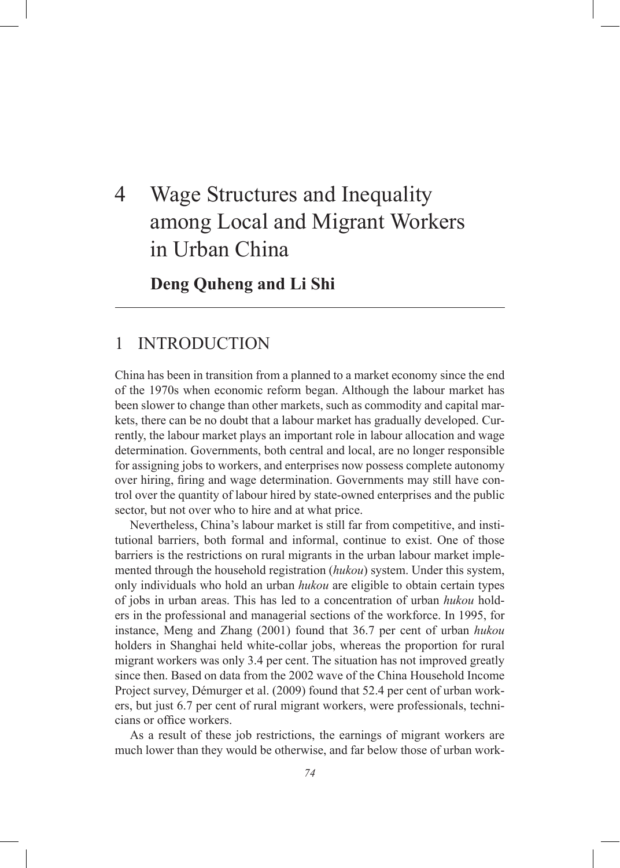# 4 Wage Structures and Inequality among Local and Migrant Workers in Urban China

## **Deng Quheng and Li Shi**

# 1 INTRODUCTION

China has been in transition from a planned to a market economy since the end of the 1970s when economic reform began. Although the labour market has been slower to change than other markets, such as commodity and capital markets, there can be no doubt that a labour market has gradually developed. Currently, the labour market plays an important role in labour allocation and wage determination. Governments, both central and local, are no longer responsible for assigning jobs to workers, and enterprises now possess complete autonomy over hiring, firing and wage determination. Governments may still have control over the quantity of labour hired by state-owned enterprises and the public sector, but not over who to hire and at what price.

Nevertheless, China's labour market is still far from competitive, and institutional barriers, both formal and informal, continue to exist. One of those barriers is the restrictions on rural migrants in the urban labour market implemented through the household registration (*hukou*) system. Under this system, only individuals who hold an urban *hukou* are eligible to obtain certain types of jobs in urban areas. This has led to a concentration of urban *hukou* holders in the professional and managerial sections of the workforce. In 1995, for instance, Meng and Zhang (2001) found that 36.7 per cent of urban *hukou* holders in Shanghai held white-collar jobs, whereas the proportion for rural migrant workers was only 3.4 per cent. The situation has not improved greatly since then. Based on data from the 2002 wave of the China Household Income Project survey, Démurger et al. (2009) found that 52.4 per cent of urban workers, but just 6.7 per cent of rural migrant workers, were professionals, technicians or office workers.

As a result of these job restrictions, the earnings of migrant workers are much lower than they would be otherwise, and far below those of urban work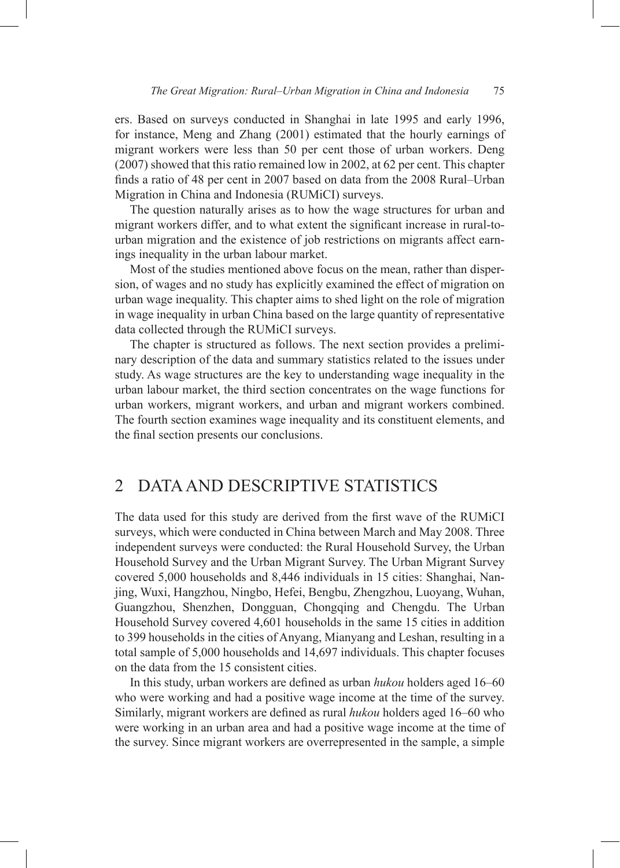ers. Based on surveys conducted in Shanghai in late 1995 and early 1996, for instance, Meng and Zhang (2001) estimated that the hourly earnings of migrant workers were less than 50 per cent those of urban workers. Deng (2007) showed that this ratio remained low in 2002, at 62 per cent. This chapter finds a ratio of 48 per cent in 2007 based on data from the 2008 Rural–Urban Migration in China and Indonesia (RUMiCI) surveys.

The question naturally arises as to how the wage structures for urban and migrant workers differ, and to what extent the significant increase in rural-tourban migration and the existence of job restrictions on migrants affect earnings inequality in the urban labour market.

Most of the studies mentioned above focus on the mean, rather than dispersion, of wages and no study has explicitly examined the effect of migration on urban wage inequality. This chapter aims to shed light on the role of migration in wage inequality in urban China based on the large quantity of representative data collected through the RUMiCI surveys.

The chapter is structured as follows. The next section provides a preliminary description of the data and summary statistics related to the issues under study. As wage structures are the key to understanding wage inequality in the urban labour market, the third section concentrates on the wage functions for urban workers, migrant workers, and urban and migrant workers combined. The fourth section examines wage inequality and its constituent elements, and the final section presents our conclusions.

### 2 DATA AND DESCRIPTIVE STATISTICS

The data used for this study are derived from the first wave of the RUMiCI surveys, which were conducted in China between March and May 2008. Three independent surveys were conducted: the Rural Household Survey, the Urban Household Survey and the Urban Migrant Survey. The Urban Migrant Survey covered 5,000 households and 8,446 individuals in 15 cities: Shanghai, Nanjing, Wuxi, Hangzhou, Ningbo, Hefei, Bengbu, Zhengzhou, Luoyang, Wuhan, Guangzhou, Shenzhen, Dongguan, Chongqing and Chengdu. The Urban Household Survey covered 4,601 households in the same 15 cities in addition to 399 households in the cities of Anyang, Mianyang and Leshan, resulting in a total sample of 5,000 households and 14,697 individuals. This chapter focuses on the data from the 15 consistent cities.

In this study, urban workers are defined as urban *hukou* holders aged 16–60 who were working and had a positive wage income at the time of the survey. Similarly, migrant workers are defined as rural *hukou* holders aged 16–60 who were working in an urban area and had a positive wage income at the time of the survey. Since migrant workers are overrepresented in the sample, a simple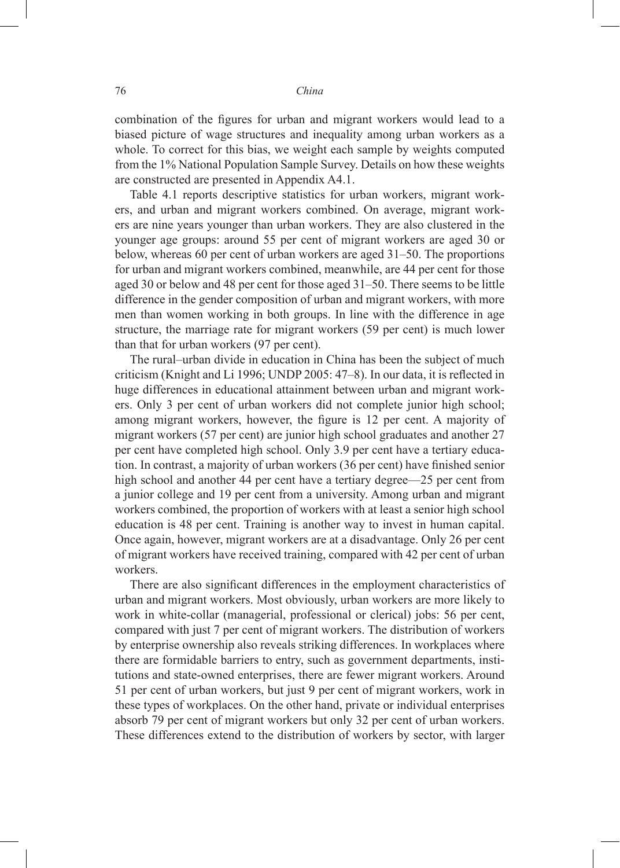combination of the figures for urban and migrant workers would lead to a biased picture of wage structures and inequality among urban workers as a whole. To correct for this bias, we weight each sample by weights computed from the 1% National Population Sample Survey. Details on how these weights are constructed are presented in Appendix A4.1.

Table 4.1 reports descriptive statistics for urban workers, migrant workers, and urban and migrant workers combined. On average, migrant workers are nine years younger than urban workers. They are also clustered in the younger age groups: around 55 per cent of migrant workers are aged 30 or below, whereas 60 per cent of urban workers are aged 31–50. The proportions for urban and migrant workers combined, meanwhile, are 44 per cent for those aged 30 or below and 48 per cent for those aged 31–50. There seems to be little difference in the gender composition of urban and migrant workers, with more men than women working in both groups. In line with the difference in age structure, the marriage rate for migrant workers (59 per cent) is much lower than that for urban workers (97 per cent).

The rural–urban divide in education in China has been the subject of much criticism (Knight and Li 1996; UNDP 2005: 47–8). In our data, it is reflected in huge differences in educational attainment between urban and migrant workers. Only 3 per cent of urban workers did not complete junior high school; among migrant workers, however, the figure is 12 per cent. A majority of migrant workers (57 per cent) are junior high school graduates and another 27 per cent have completed high school. Only 3.9 per cent have a tertiary education. In contrast, a majority of urban workers (36 per cent) have finished senior high school and another 44 per cent have a tertiary degree—25 per cent from a junior college and 19 per cent from a university. Among urban and migrant workers combined, the proportion of workers with at least a senior high school education is 48 per cent. Training is another way to invest in human capital. Once again, however, migrant workers are at a disadvantage. Only 26 per cent of migrant workers have received training, compared with 42 per cent of urban workers.

There are also significant differences in the employment characteristics of urban and migrant workers. Most obviously, urban workers are more likely to work in white-collar (managerial, professional or clerical) jobs: 56 per cent, compared with just 7 per cent of migrant workers. The distribution of workers by enterprise ownership also reveals striking differences. In workplaces where there are formidable barriers to entry, such as government departments, institutions and state-owned enterprises, there are fewer migrant workers. Around 51 per cent of urban workers, but just 9 per cent of migrant workers, work in these types of workplaces. On the other hand, private or individual enterprises absorb 79 per cent of migrant workers but only 32 per cent of urban workers. These differences extend to the distribution of workers by sector, with larger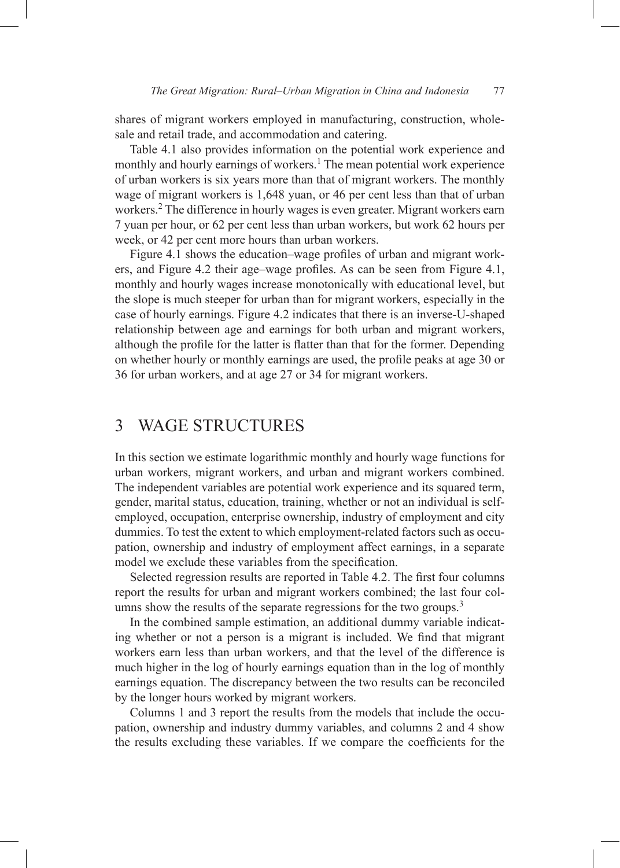shares of migrant workers employed in manufacturing, construction, wholesale and retail trade, and accommodation and catering.

Table 4.1 also provides information on the potential work experience and monthly and hourly earnings of workers.<sup>1</sup> The mean potential work experience of urban workers is six years more than that of migrant workers. The monthly wage of migrant workers is 1,648 yuan, or 46 per cent less than that of urban workers.<sup>2</sup> The difference in hourly wages is even greater. Migrant workers earn 7 yuan per hour, or 62 per cent less than urban workers, but work 62 hours per week, or 42 per cent more hours than urban workers.

Figure 4.1 shows the education–wage profiles of urban and migrant workers, and Figure 4.2 their age–wage profiles. As can be seen from Figure 4.1, monthly and hourly wages increase monotonically with educational level, but the slope is much steeper for urban than for migrant workers, especially in the case of hourly earnings. Figure 4.2 indicates that there is an inverse-U-shaped relationship between age and earnings for both urban and migrant workers, although the profile for the latter is flatter than that for the former. Depending on whether hourly or monthly earnings are used, the profile peaks at age 30 or 36 for urban workers, and at age 27 or 34 for migrant workers.

# 3 WAGE STRUCTURES

In this section we estimate logarithmic monthly and hourly wage functions for urban workers, migrant workers, and urban and migrant workers combined. The independent variables are potential work experience and its squared term, gender, marital status, education, training, whether or not an individual is selfemployed, occupation, enterprise ownership, industry of employment and city dummies. To test the extent to which employment-related factors such as occupation, ownership and industry of employment affect earnings, in a separate model we exclude these variables from the specification.

Selected regression results are reported in Table 4.2. The first four columns report the results for urban and migrant workers combined; the last four columns show the results of the separate regressions for the two groups.<sup>3</sup>

In the combined sample estimation, an additional dummy variable indicating whether or not a person is a migrant is included. We find that migrant workers earn less than urban workers, and that the level of the difference is much higher in the log of hourly earnings equation than in the log of monthly earnings equation. The discrepancy between the two results can be reconciled by the longer hours worked by migrant workers.

Columns 1 and 3 report the results from the models that include the occupation, ownership and industry dummy variables, and columns 2 and 4 show the results excluding these variables. If we compare the coefficients for the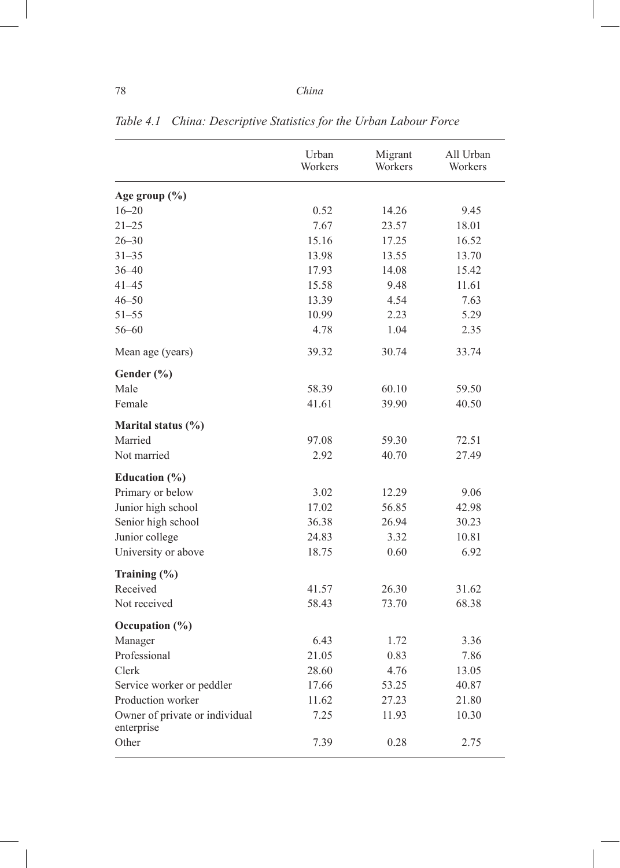|                                              | Urban<br>Workers | Migrant<br>Workers | All Urban<br>Workers |
|----------------------------------------------|------------------|--------------------|----------------------|
| Age group $(\% )$                            |                  |                    |                      |
| $16 - 20$                                    | 0.52             | 14.26              | 9.45                 |
| $21 - 25$                                    | 7.67             | 23.57              | 18.01                |
| $26 - 30$                                    | 15.16            | 17.25              | 16.52                |
| $31 - 35$                                    | 13.98            | 13.55              | 13.70                |
| $36 - 40$                                    | 17.93            | 14.08              | 15.42                |
| $41 - 45$                                    | 15.58            | 9.48               | 11.61                |
| $46 - 50$                                    | 13.39            | 4.54               | 7.63                 |
| $51 - 55$                                    | 10.99            | 2.23               | 5.29                 |
| $56 - 60$                                    | 4.78             | 1.04               | 2.35                 |
| Mean age (years)                             | 39.32            | 30.74              | 33.74                |
| Gender $(\% )$                               |                  |                    |                      |
| Male                                         | 58.39            | 60.10              | 59.50                |
| Female                                       | 41.61            | 39.90              | 40.50                |
| Marital status (%)                           |                  |                    |                      |
| Married                                      | 97.08            | 59.30              | 72.51                |
| Not married                                  | 2.92             | 40.70              | 27.49                |
| Education $(\% )$                            |                  |                    |                      |
| Primary or below                             | 3.02             | 12.29              | 9.06                 |
| Junior high school                           | 17.02            | 56.85              | 42.98                |
| Senior high school                           | 36.38            | 26.94              | 30.23                |
| Junior college                               | 24.83            | 3.32               | 10.81                |
| University or above                          | 18.75            | 0.60               | 6.92                 |
| Training (%)                                 |                  |                    |                      |
| Received                                     | 41.57            | 26.30              | 31.62                |
| Not received                                 | 58.43            | 73.70              | 68.38                |
| Occupation $(\% )$                           |                  |                    |                      |
| Manager                                      | 6.43             | 1.72               | 3.36                 |
| Professional                                 | 21.05            | 0.83               | 7.86                 |
| Clerk                                        | 28.60            | 4.76               | 13.05                |
| Service worker or peddler                    | 17.66            | 53.25              | 40.87                |
| Production worker                            | 11.62            | 27.23              | 21.80                |
| Owner of private or individual<br>enterprise | 7.25             | 11.93              | 10.30                |
| Other                                        | 7.39             | 0.28               | 2.75                 |

*Table 4.1 China: Descriptive Statistics for the Urban Labour Force*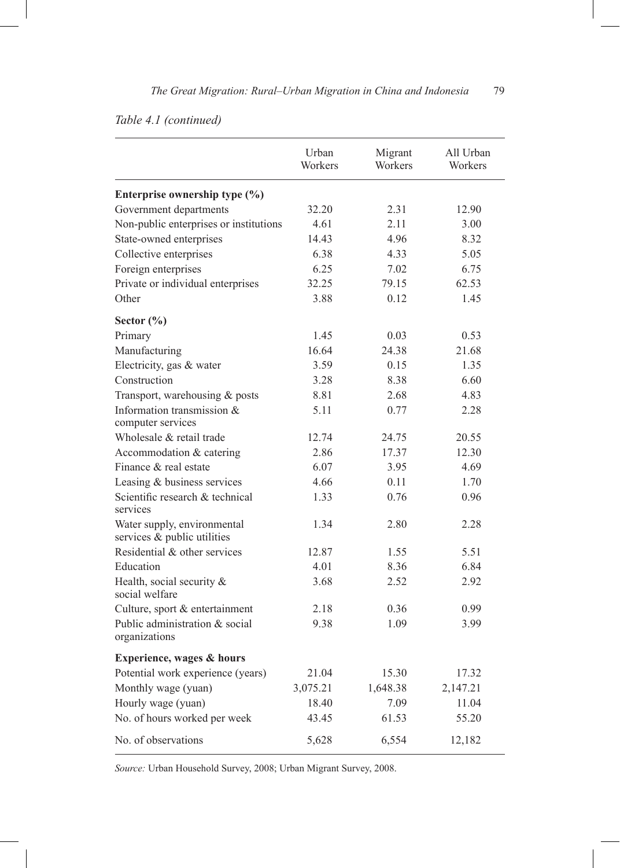### *Table 4.1 (continued)*

|                                                            | Urban<br>Workers | Migrant<br>Workers | All Urban<br>Workers |
|------------------------------------------------------------|------------------|--------------------|----------------------|
| Enterprise ownership type (%)                              |                  |                    |                      |
| Government departments                                     | 32.20            | 2.31               | 12.90                |
| Non-public enterprises or institutions                     | 4.61             | 2.11               | 3.00                 |
| State-owned enterprises                                    | 14.43            | 4.96               | 8.32                 |
| Collective enterprises                                     | 6.38             | 4.33               | 5.05                 |
| Foreign enterprises                                        | 6.25             | 7.02               | 6.75                 |
| Private or individual enterprises                          | 32.25            | 79.15              | 62.53                |
| Other                                                      | 3.88             | 0.12               | 1.45                 |
| Sector $(\% )$                                             |                  |                    |                      |
| Primary                                                    | 1.45             | 0.03               | 0.53                 |
| Manufacturing                                              | 16.64            | 24.38              | 21.68                |
| Electricity, gas & water                                   | 3.59             | 0.15               | 1.35                 |
| Construction                                               | 3.28             | 8.38               | 6.60                 |
| Transport, warehousing & posts                             | 8.81             | 2.68               | 4.83                 |
| Information transmission &<br>computer services            | 5.11             | 0.77               | 2.28                 |
| Wholesale & retail trade                                   | 12.74            | 24.75              | 20.55                |
| Accommodation & catering                                   | 2.86             | 17.37              | 12.30                |
| Finance & real estate                                      | 6.07             | 3.95               | 4.69                 |
| Leasing & business services                                | 4.66             | 0.11               | 1.70                 |
| Scientific research & technical<br>services                | 1.33             | 0.76               | 0.96                 |
| Water supply, environmental<br>services & public utilities | 1.34             | 2.80               | 2.28                 |
| Residential & other services                               | 12.87            | 1.55               | 5.51                 |
| Education                                                  | 4.01             | 8.36               | 6.84                 |
| Health, social security &<br>social welfare                | 3.68             | 2.52               | 2.92                 |
| Culture, sport & entertainment                             | 2.18             | 0.36               | 0.99                 |
| Public administration & social<br>organizations            | 9.38             | 1.09               | 3.99                 |
| Experience, wages & hours                                  |                  |                    |                      |
| Potential work experience (years)                          | 21.04            | 15.30              | 17.32                |
| Monthly wage (yuan)                                        | 3,075.21         | 1,648.38           | 2,147.21             |
| Hourly wage (yuan)                                         | 18.40            | 7.09               | 11.04                |
| No. of hours worked per week                               | 43.45            | 61.53              | 55.20                |
| No. of observations                                        | 5,628            | 6,554              | 12,182               |

*Source:* Urban Household Survey, 2008; Urban Migrant Survey, 2008.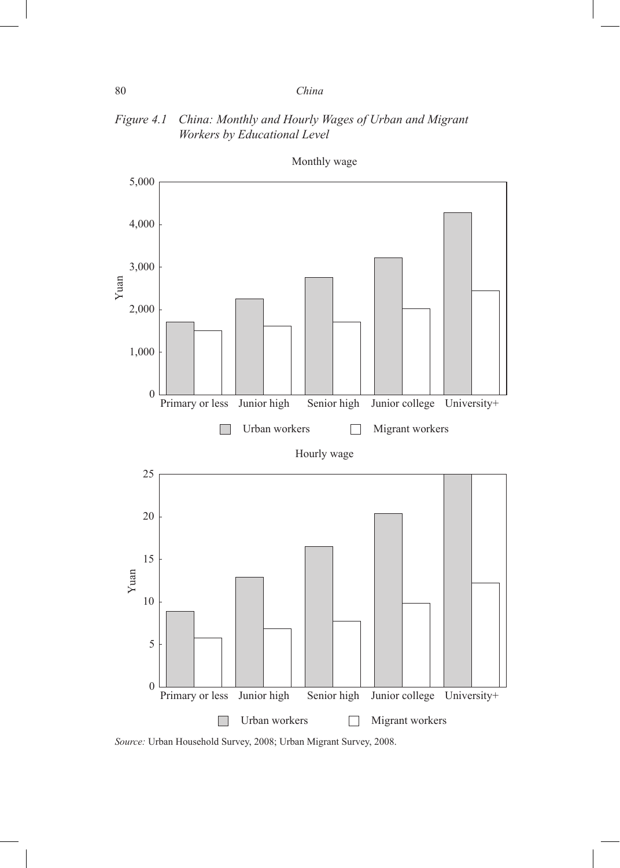### *Figure 4.1 China: Monthly and Hourly Wages of Urban and Migrant Workers by Educational Level*



Monthly wage

*Source:* Urban Household Survey, 2008; Urban Migrant Survey, 2008.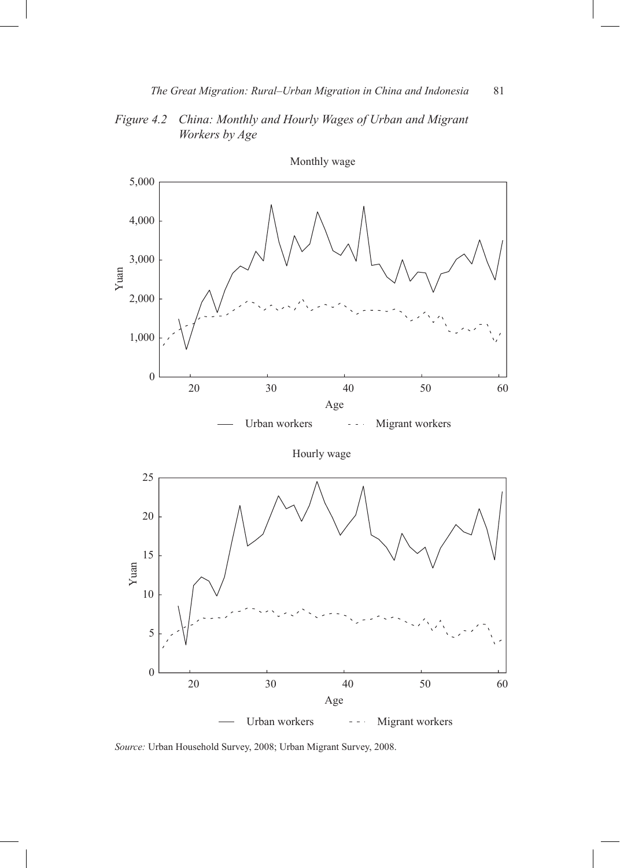*Figure 4.2 China: Monthly and Hourly Wages of Urban and Migrant Workers by Age*



*Source:* Urban Household Survey, 2008; Urban Migrant Survey, 2008.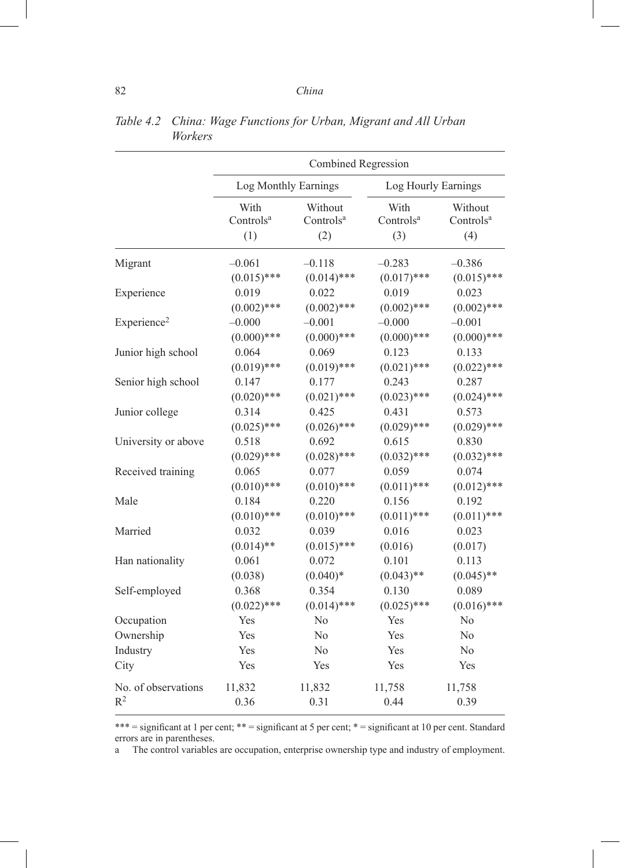|                         | Combined Regression                         |                                         |                                      |                                         |  |
|-------------------------|---------------------------------------------|-----------------------------------------|--------------------------------------|-----------------------------------------|--|
|                         | Log Monthly Earnings<br>Log Hourly Earnings |                                         |                                      |                                         |  |
|                         | With<br>Controls <sup>a</sup><br>(1)        | Without<br>Controls <sup>a</sup><br>(2) | With<br>Controls <sup>a</sup><br>(3) | Without<br>Controls <sup>a</sup><br>(4) |  |
| Migrant                 | $-0.061$                                    | $-0.118$                                | $-0.283$                             | $-0.386$                                |  |
|                         | $(0.015)$ ***                               | $(0.014)$ ***                           | $(0.017)$ ***                        | $(0.015)$ ***                           |  |
| Experience              | 0.019                                       | 0.022                                   | 0.019                                | 0.023                                   |  |
|                         | $(0.002)$ ***                               | $(0.002)$ ***                           | $(0.002)$ ***                        | $(0.002)$ ***                           |  |
| Experience <sup>2</sup> | $-0.000$                                    | $-0.001$                                | $-0.000$                             | $-0.001$                                |  |
|                         | $(0.000)$ ***                               | $(0.000)$ ***                           | $(0.000)$ ***                        | $(0.000)$ ***                           |  |
| Junior high school      | 0.064                                       | 0.069                                   | 0.123                                | 0.133                                   |  |
|                         | $(0.019)$ ***                               | $(0.019)$ ***                           | $(0.021)$ ***                        | $(0.022)$ ***                           |  |
| Senior high school      | 0.147                                       | 0.177                                   | 0.243                                | 0.287                                   |  |
|                         | $(0.020)$ ***                               | $(0.021)$ ***                           | $(0.023)$ ***                        | $(0.024)$ ***                           |  |
| Junior college          | 0.314                                       | 0.425                                   | 0.431                                | 0.573                                   |  |
|                         | $(0.025)$ ***                               | $(0.026)$ ***                           | $(0.029)$ ***                        | $(0.029)$ ***                           |  |
| University or above     | 0.518                                       | 0.692                                   | 0.615                                | 0.830                                   |  |
|                         | $(0.029)$ ***                               | $(0.028)$ ***                           | $(0.032)$ ***                        | $(0.032)$ ***                           |  |
| Received training       | 0.065                                       | 0.077                                   | 0.059                                | 0.074                                   |  |
|                         | $(0.010)$ ***                               | $(0.010)$ ***                           | $(0.011)$ ***                        | $(0.012)$ ***                           |  |
| Male                    | 0.184                                       | 0.220                                   | 0.156                                | 0.192                                   |  |
|                         | $(0.010)$ ***                               | $(0.010)$ ***                           | $(0.011)$ ***                        | $(0.011)$ ***                           |  |
| Married                 | 0.032                                       | 0.039                                   | 0.016                                | 0.023                                   |  |
|                         | $(0.014)$ **                                | $(0.015)$ ***                           | (0.016)                              | (0.017)                                 |  |
| Han nationality         | 0.061                                       | 0.072                                   | 0.101                                | 0.113                                   |  |
|                         | (0.038)                                     | $(0.040)*$                              | $(0.043)$ **                         | $(0.045)$ **                            |  |
| Self-employed           | 0.368                                       | 0.354                                   | 0.130                                | 0.089                                   |  |
|                         | $(0.022)$ ***                               | $(0.014)$ ***                           | $(0.025)$ ***                        | $(0.016)$ ***                           |  |
| Occupation              | Yes                                         | No                                      | Yes                                  | N <sub>0</sub>                          |  |
| Ownership               | Yes                                         | N <sub>0</sub>                          | Yes                                  | No                                      |  |
| Industry                | Yes                                         | N <sub>0</sub>                          | Yes                                  | No                                      |  |
| City                    | Yes                                         | Yes                                     | Yes                                  | Yes                                     |  |
| No. of observations     | 11,832                                      | 11,832                                  | 11,758                               | 11,758                                  |  |
| $R^2$                   | 0.36                                        | 0.31                                    | 0.44                                 | 0.39                                    |  |

*Table 4.2 China: Wage Functions for Urban, Migrant and All Urban Workers* 

\*\*\* = significant at 1 per cent; \*\* = significant at 5 per cent; \* = significant at 10 per cent. Standard errors are in parentheses.<br>a The control variables

The control variables are occupation, enterprise ownership type and industry of employment.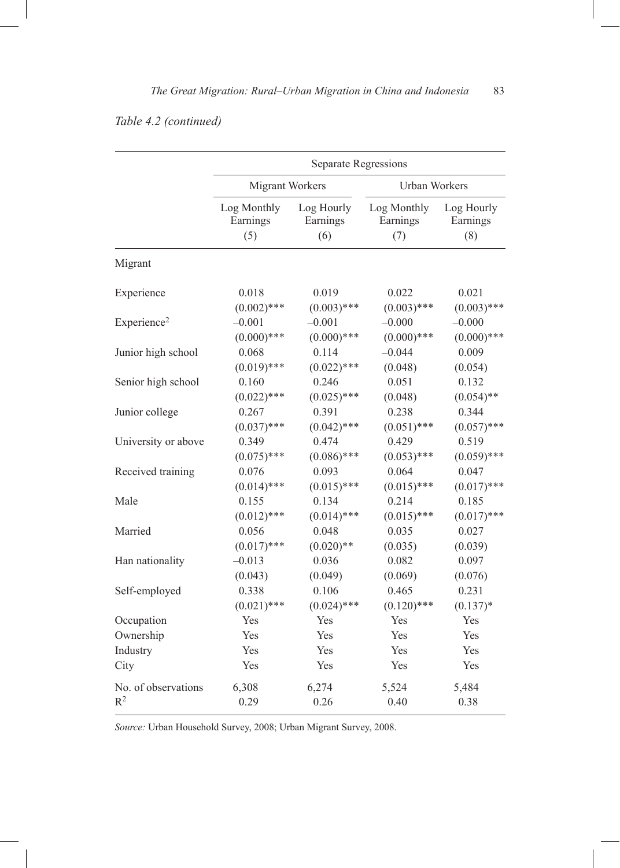### *Table 4.2 (continued)*

|                         | Separate Regressions                    |               |               |               |  |
|-------------------------|-----------------------------------------|---------------|---------------|---------------|--|
|                         | Migrant Workers<br><b>Urban Workers</b> |               |               |               |  |
|                         | Log Monthly                             | Log Hourly    | Log Monthly   | Log Hourly    |  |
|                         | Earnings                                | Earnings      | Earnings      | Earnings      |  |
|                         | (5)                                     | (6)           | (7)           | (8)           |  |
| Migrant                 |                                         |               |               |               |  |
| Experience              | 0.018                                   | 0.019         | 0.022         | 0.021         |  |
|                         | $(0.002)$ ***                           | $(0.003)$ *** | $(0.003)$ *** | $(0.003)$ *** |  |
| Experience <sup>2</sup> | $-0.001$                                | $-0.001$      | $-0.000$      | $-0.000$      |  |
|                         | $(0.000)$ ***                           | $(0.000)$ *** | $(0.000)$ *** | $(0.000)$ *** |  |
| Junior high school      | 0.068                                   | 0.114         | $-0.044$      | 0.009         |  |
|                         | $(0.019)$ ***                           | $(0.022)$ *** | (0.048)       | (0.054)       |  |
| Senior high school      | 0.160                                   | 0.246         | 0.051         | 0.132         |  |
|                         | $(0.022)$ ***                           | $(0.025)$ *** | (0.048)       | $(0.054)$ **  |  |
| Junior college          | 0.267                                   | 0.391         | 0.238         | 0.344         |  |
|                         | $(0.037)$ ***                           | $(0.042)$ *** | $(0.051)$ *** | $(0.057)$ *** |  |
| University or above     | 0.349                                   | 0.474         | 0.429         | 0.519         |  |
|                         | $(0.075)$ ***                           | $(0.086)$ *** | $(0.053)$ *** | $(0.059)$ *** |  |
| Received training       | 0.076                                   | 0.093         | 0.064         | 0.047         |  |
|                         | $(0.014)$ ***                           | $(0.015)$ *** | $(0.015)$ *** | $(0.017)$ *** |  |
| Male                    | 0.155                                   | 0.134         | 0.214         | 0.185         |  |
|                         | $(0.012)$ ***                           | $(0.014)$ *** | $(0.015)$ *** | $(0.017)$ *** |  |
| Married                 | 0.056                                   | 0.048         | 0.035         | 0.027         |  |
|                         | $(0.017)$ ***                           | $(0.020)$ **  | (0.035)       | (0.039)       |  |
| Han nationality         | $-0.013$                                | 0.036         | 0.082         | 0.097         |  |
|                         | (0.043)                                 | (0.049)       | (0.069)       | (0.076)       |  |
| Self-employed           | 0.338                                   | 0.106         | 0.465         | 0.231         |  |
|                         | $(0.021)$ ***                           | $(0.024)$ *** | $(0.120)$ *** | $(0.137)$ *   |  |
| Occupation              | Yes                                     | Yes           | Yes           | Yes           |  |
| Ownership               | Yes                                     | Yes           | Yes           | Yes           |  |
| Industry                | Yes                                     | Yes           | Yes           | Yes           |  |
| City                    | Yes                                     | Yes           | Yes           | Yes           |  |
| No. of observations     | 6,308                                   | 6,274         | 5,524         | 5,484         |  |
| $R^2$                   | 0.29                                    | 0.26          | 0.40          | 0.38          |  |

*Source:* Urban Household Survey, 2008; Urban Migrant Survey, 2008.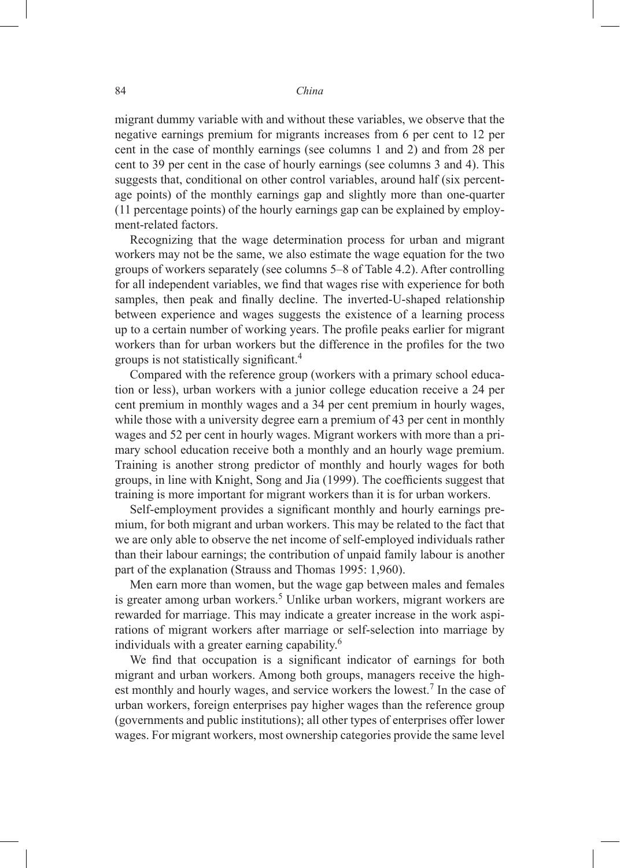migrant dummy variable with and without these variables, we observe that the negative earnings premium for migrants increases from 6 per cent to 12 per cent in the case of monthly earnings (see columns 1 and 2) and from 28 per cent to 39 per cent in the case of hourly earnings (see columns 3 and 4). This suggests that, conditional on other control variables, around half (six percentage points) of the monthly earnings gap and slightly more than one-quarter (11 percentage points) of the hourly earnings gap can be explained by employment-related factors.

Recognizing that the wage determination process for urban and migrant workers may not be the same, we also estimate the wage equation for the two groups of workers separately (see columns 5–8 of Table 4.2). After controlling for all independent variables, we find that wages rise with experience for both samples, then peak and finally decline. The inverted-U-shaped relationship between experience and wages suggests the existence of a learning process up to a certain number of working years. The profile peaks earlier for migrant workers than for urban workers but the difference in the profiles for the two groups is not statistically significant.<sup>4</sup>

Compared with the reference group (workers with a primary school education or less), urban workers with a junior college education receive a 24 per cent premium in monthly wages and a 34 per cent premium in hourly wages, while those with a university degree earn a premium of 43 per cent in monthly wages and 52 per cent in hourly wages. Migrant workers with more than a primary school education receive both a monthly and an hourly wage premium. Training is another strong predictor of monthly and hourly wages for both groups, in line with Knight, Song and Jia (1999). The coefficients suggest that training is more important for migrant workers than it is for urban workers.

Self-employment provides a significant monthly and hourly earnings premium, for both migrant and urban workers. This may be related to the fact that we are only able to observe the net income of self-employed individuals rather than their labour earnings; the contribution of unpaid family labour is another part of the explanation (Strauss and Thomas 1995: 1,960).

Men earn more than women, but the wage gap between males and females is greater among urban workers.<sup>5</sup> Unlike urban workers, migrant workers are rewarded for marriage. This may indicate a greater increase in the work aspirations of migrant workers after marriage or self-selection into marriage by individuals with a greater earning capability.6

We find that occupation is a significant indicator of earnings for both migrant and urban workers. Among both groups, managers receive the highest monthly and hourly wages, and service workers the lowest.<sup>7</sup> In the case of urban workers, foreign enterprises pay higher wages than the reference group (governments and public institutions); all other types of enterprises offer lower wages. For migrant workers, most ownership categories provide the same level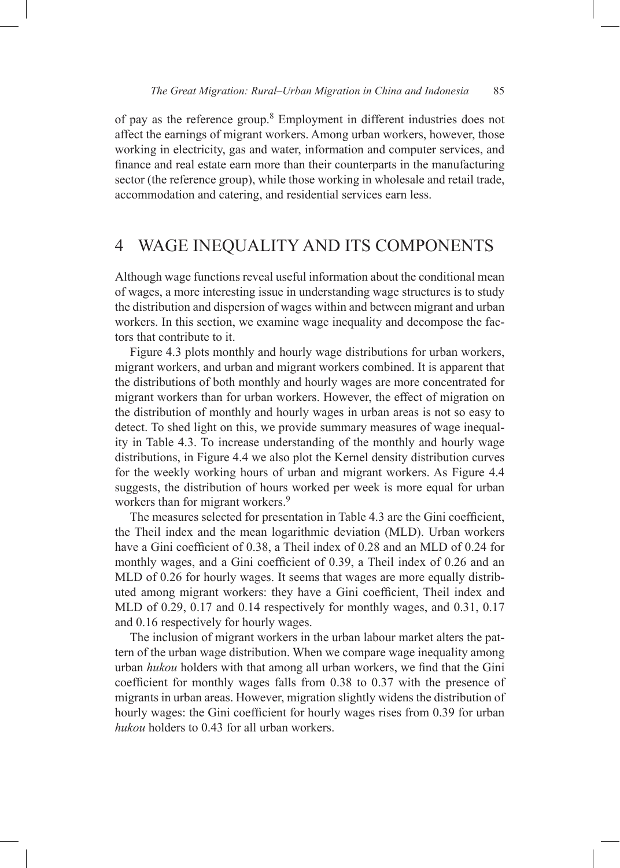of pay as the reference group.<sup>8</sup> Employment in different industries does not affect the earnings of migrant workers. Among urban workers, however, those working in electricity, gas and water, information and computer services, and finance and real estate earn more than their counterparts in the manufacturing sector (the reference group), while those working in wholesale and retail trade, accommodation and catering, and residential services earn less.

# 4 WAGE INEQUALITY AND ITS components

Although wage functions reveal useful information about the conditional mean of wages, a more interesting issue in understanding wage structures is to study the distribution and dispersion of wages within and between migrant and urban workers. In this section, we examine wage inequality and decompose the factors that contribute to it.

Figure 4.3 plots monthly and hourly wage distributions for urban workers, migrant workers, and urban and migrant workers combined. It is apparent that the distributions of both monthly and hourly wages are more concentrated for migrant workers than for urban workers. However, the effect of migration on the distribution of monthly and hourly wages in urban areas is not so easy to detect. To shed light on this, we provide summary measures of wage inequality in Table 4.3. To increase understanding of the monthly and hourly wage distributions, in Figure 4.4 we also plot the Kernel density distribution curves for the weekly working hours of urban and migrant workers. As Figure 4.4 suggests, the distribution of hours worked per week is more equal for urban workers than for migrant workers.<sup>9</sup>

The measures selected for presentation in Table 4.3 are the Gini coefficient, the Theil index and the mean logarithmic deviation (MLD). Urban workers have a Gini coefficient of 0.38, a Theil index of 0.28 and an MLD of 0.24 for monthly wages, and a Gini coefficient of 0.39, a Theil index of 0.26 and an MLD of 0.26 for hourly wages. It seems that wages are more equally distributed among migrant workers: they have a Gini coefficient, Theil index and MLD of 0.29, 0.17 and 0.14 respectively for monthly wages, and 0.31, 0.17 and 0.16 respectively for hourly wages.

The inclusion of migrant workers in the urban labour market alters the pattern of the urban wage distribution. When we compare wage inequality among urban *hukou* holders with that among all urban workers, we find that the Gini coefficient for monthly wages falls from 0.38 to 0.37 with the presence of migrants in urban areas. However, migration slightly widens the distribution of hourly wages: the Gini coefficient for hourly wages rises from 0.39 for urban *hukou* holders to 0.43 for all urban workers.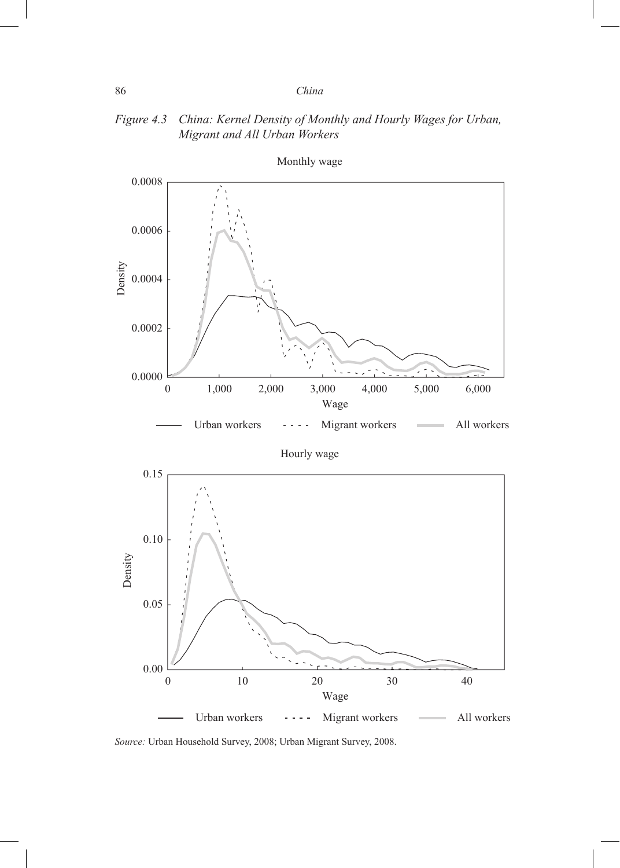### *Figure 4.3 China: Kernel Density of Monthly and Hourly Wages for Urban, Migrant and All Urban Workers*



*Source:* Urban Household Survey, 2008; Urban Migrant Survey, 2008.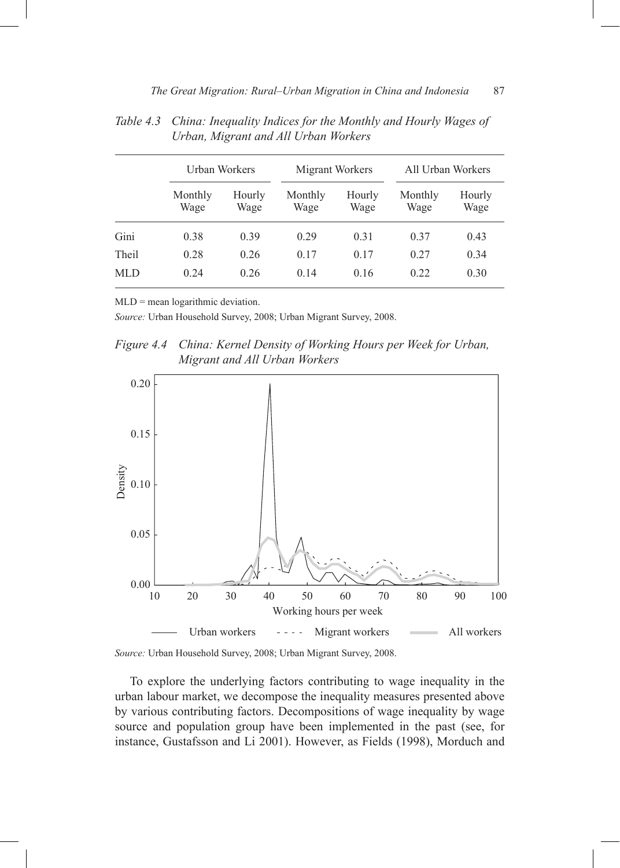|       |                 | Urban Workers  |                 | Migrant Workers |                 | All Urban Workers |  |
|-------|-----------------|----------------|-----------------|-----------------|-----------------|-------------------|--|
|       | Monthly<br>Wage | Hourly<br>Wage | Monthly<br>Wage | Hourly<br>Wage  | Monthly<br>Wage | Hourly<br>Wage    |  |
| Gini  | 0.38            | 0.39           | 0.29            | 0.31            | 0.37            | 0.43              |  |
| Theil | 0.28            | 0.26           | 0.17            | 0.17            | 0.27            | 0.34              |  |
| MLD   | 0.24            | 0.26           | 0.14            | 0.16            | 0.22            | 0.30              |  |

*Table 4.3 China: Inequality Indices for the Monthly and Hourly Wages of Urban, Migrant and All Urban Workers*

MLD = mean logarithmic deviation.

*Source:* Urban Household Survey, 2008; Urban Migrant Survey, 2008.

*Figure 4.4 China: Kernel Density of Working Hours per Week for Urban, Migrant and All Urban Workers*



*Source:* Urban Household Survey, 2008; Urban Migrant Survey, 2008.

To explore the underlying factors contributing to wage inequality in the urban labour market, we decompose the inequality measures presented above by various contributing factors. Decompositions of wage inequality by wage source and population group have been implemented in the past (see, for instance, Gustafsson and Li 2001). However, as Fields (1998), Morduch and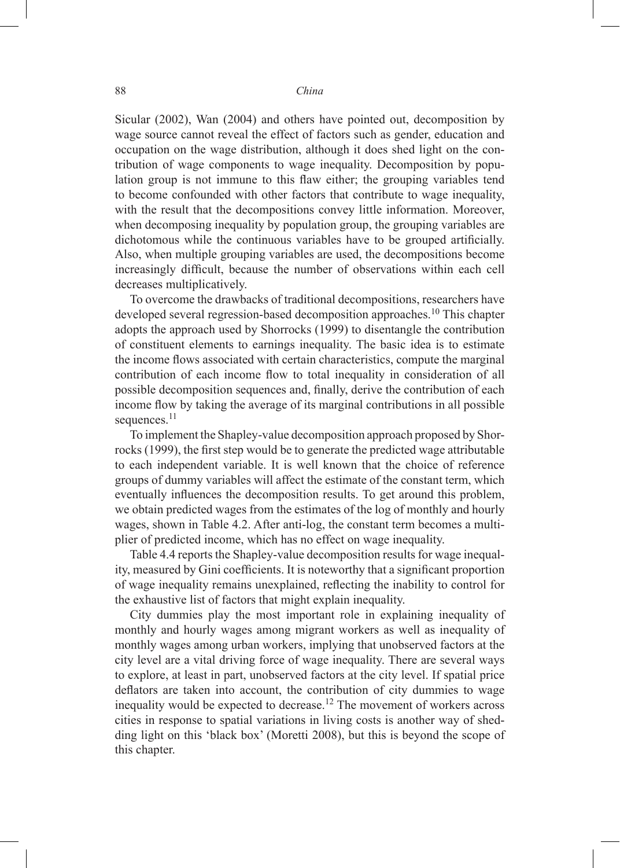Sicular (2002), Wan (2004) and others have pointed out, decomposition by wage source cannot reveal the effect of factors such as gender, education and occupation on the wage distribution, although it does shed light on the contribution of wage components to wage inequality. Decomposition by population group is not immune to this flaw either; the grouping variables tend to become confounded with other factors that contribute to wage inequality, with the result that the decompositions convey little information. Moreover, when decomposing inequality by population group, the grouping variables are dichotomous while the continuous variables have to be grouped artificially. Also, when multiple grouping variables are used, the decompositions become increasingly difficult, because the number of observations within each cell decreases multiplicatively.

To overcome the drawbacks of traditional decompositions, researchers have developed several regression-based decomposition approaches.<sup>10</sup> This chapter adopts the approach used by Shorrocks (1999) to disentangle the contribution of constituent elements to earnings inequality. The basic idea is to estimate the income flows associated with certain characteristics, compute the marginal contribution of each income flow to total inequality in consideration of all possible decomposition sequences and, finally, derive the contribution of each income flow by taking the average of its marginal contributions in all possible sequences.<sup>11</sup>

To implement the Shapley-value decomposition approach proposed by Shorrocks (1999), the first step would be to generate the predicted wage attributable to each independent variable. It is well known that the choice of reference groups of dummy variables will affect the estimate of the constant term, which eventually influences the decomposition results. To get around this problem, we obtain predicted wages from the estimates of the log of monthly and hourly wages, shown in Table 4.2. After anti-log, the constant term becomes a multiplier of predicted income, which has no effect on wage inequality.

Table 4.4 reports the Shapley-value decomposition results for wage inequality, measured by Gini coefficients. It is noteworthy that a significant proportion of wage inequality remains unexplained, reflecting the inability to control for the exhaustive list of factors that might explain inequality.

City dummies play the most important role in explaining inequality of monthly and hourly wages among migrant workers as well as inequality of monthly wages among urban workers, implying that unobserved factors at the city level are a vital driving force of wage inequality. There are several ways to explore, at least in part, unobserved factors at the city level. If spatial price deflators are taken into account, the contribution of city dummies to wage inequality would be expected to decrease.<sup>12</sup> The movement of workers across cities in response to spatial variations in living costs is another way of shedding light on this 'black box' (Moretti 2008), but this is beyond the scope of this chapter.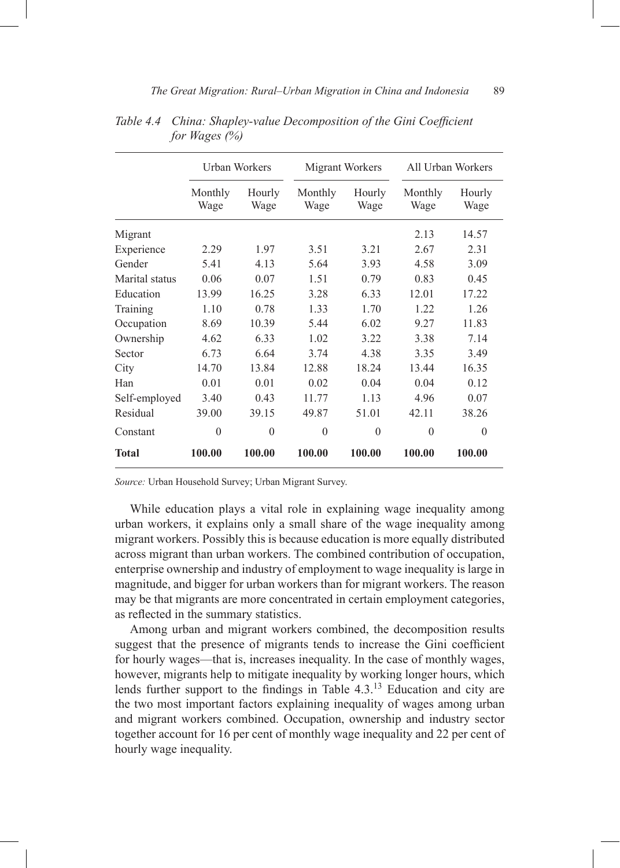|                | Urban Workers   |                | Migrant Workers |                | All Urban Workers |                |
|----------------|-----------------|----------------|-----------------|----------------|-------------------|----------------|
|                | Monthly<br>Wage | Hourly<br>Wage | Monthly<br>Wage | Hourly<br>Wage | Monthly<br>Wage   | Hourly<br>Wage |
| Migrant        |                 |                |                 |                | 2.13              | 14.57          |
| Experience     | 2.29            | 1.97           | 3.51            | 3.21           | 2.67              | 2.31           |
| Gender         | 5.41            | 4.13           | 5.64            | 3.93           | 4.58              | 3.09           |
| Marital status | 0.06            | 0.07           | 1.51            | 0.79           | 0.83              | 0.45           |
| Education      | 13.99           | 16.25          | 3.28            | 6.33           | 12.01             | 17.22          |
| Training       | 1.10            | 0.78           | 1.33            | 1.70           | 1.22              | 1.26           |
| Occupation     | 8.69            | 10.39          | 5.44            | 6.02           | 9.27              | 11.83          |
| Ownership      | 4.62            | 6.33           | 1.02            | 3.22           | 3.38              | 7.14           |
| Sector         | 6.73            | 6.64           | 3.74            | 4.38           | 3.35              | 3.49           |
| City           | 14.70           | 13.84          | 12.88           | 18.24          | 13.44             | 16.35          |
| Han            | 0.01            | 0.01           | 0.02            | 0.04           | 0.04              | 0.12           |
| Self-employed  | 3.40            | 0.43           | 11.77           | 1.13           | 4.96              | 0.07           |
| Residual       | 39.00           | 39.15          | 49.87           | 51.01          | 42.11             | 38.26          |
| Constant       | $\theta$        | $\theta$       | $\Omega$        | $\theta$       | $\theta$          | $\Omega$       |
| Total          | 100.00          | 100.00         | 100.00          | 100.00         | 100.00            | 100.00         |

*Table 4.4 China: Shapley-value Decomposition of the Gini Coefficient for Wages (%)*

*Source:* Urban Household Survey; Urban Migrant Survey.

While education plays a vital role in explaining wage inequality among urban workers, it explains only a small share of the wage inequality among migrant workers. Possibly this is because education is more equally distributed across migrant than urban workers. The combined contribution of occupation, enterprise ownership and industry of employment to wage inequality is large in magnitude, and bigger for urban workers than for migrant workers. The reason may be that migrants are more concentrated in certain employment categories, as reflected in the summary statistics.

Among urban and migrant workers combined, the decomposition results suggest that the presence of migrants tends to increase the Gini coefficient for hourly wages—that is, increases inequality. In the case of monthly wages, however, migrants help to mitigate inequality by working longer hours, which lends further support to the findings in Table  $4.3<sup>13</sup>$  Education and city are the two most important factors explaining inequality of wages among urban and migrant workers combined. Occupation, ownership and industry sector together account for 16 per cent of monthly wage inequality and 22 per cent of hourly wage inequality.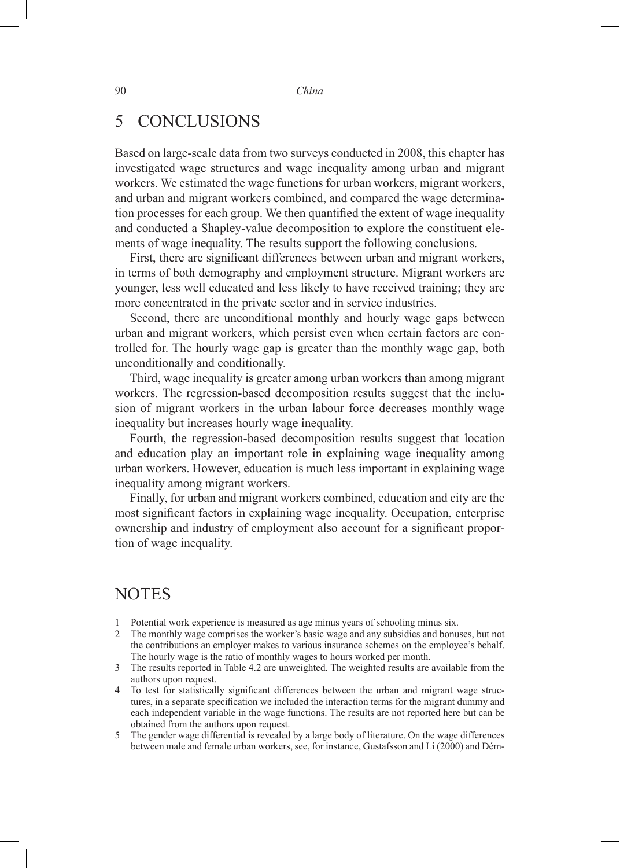# 5 CONCLUSIONS

Based on large-scale data from two surveys conducted in 2008, this chapter has investigated wage structures and wage inequality among urban and migrant workers. We estimated the wage functions for urban workers, migrant workers, and urban and migrant workers combined, and compared the wage determination processes for each group. We then quantified the extent of wage inequality and conducted a Shapley-value decomposition to explore the constituent elements of wage inequality. The results support the following conclusions.

First, there are significant differences between urban and migrant workers, in terms of both demography and employment structure. Migrant workers are younger, less well educated and less likely to have received training; they are more concentrated in the private sector and in service industries.

Second, there are unconditional monthly and hourly wage gaps between urban and migrant workers, which persist even when certain factors are controlled for. The hourly wage gap is greater than the monthly wage gap, both unconditionally and conditionally.

Third, wage inequality is greater among urban workers than among migrant workers. The regression-based decomposition results suggest that the inclusion of migrant workers in the urban labour force decreases monthly wage inequality but increases hourly wage inequality.

Fourth, the regression-based decomposition results suggest that location and education play an important role in explaining wage inequality among urban workers. However, education is much less important in explaining wage inequality among migrant workers.

Finally, for urban and migrant workers combined, education and city are the most significant factors in explaining wage inequality. Occupation, enterprise ownership and industry of employment also account for a significant proportion of wage inequality.

### **NOTES**

- 1 Potential work experience is measured as age minus years of schooling minus six.
- 2 The monthly wage comprises the worker's basic wage and any subsidies and bonuses, but not the contributions an employer makes to various insurance schemes on the employee's behalf. The hourly wage is the ratio of monthly wages to hours worked per month.
- 3 The results reported in Table 4.2 are unweighted. The weighted results are available from the authors upon request.
- 4 To test for statistically significant differences between the urban and migrant wage structures, in a separate specification we included the interaction terms for the migrant dummy and each independent variable in the wage functions. The results are not reported here but can be obtained from the authors upon request.
- The gender wage differential is revealed by a large body of literature. On the wage differences between male and female urban workers, see, for instance, Gustafsson and Li (2000) and Dém-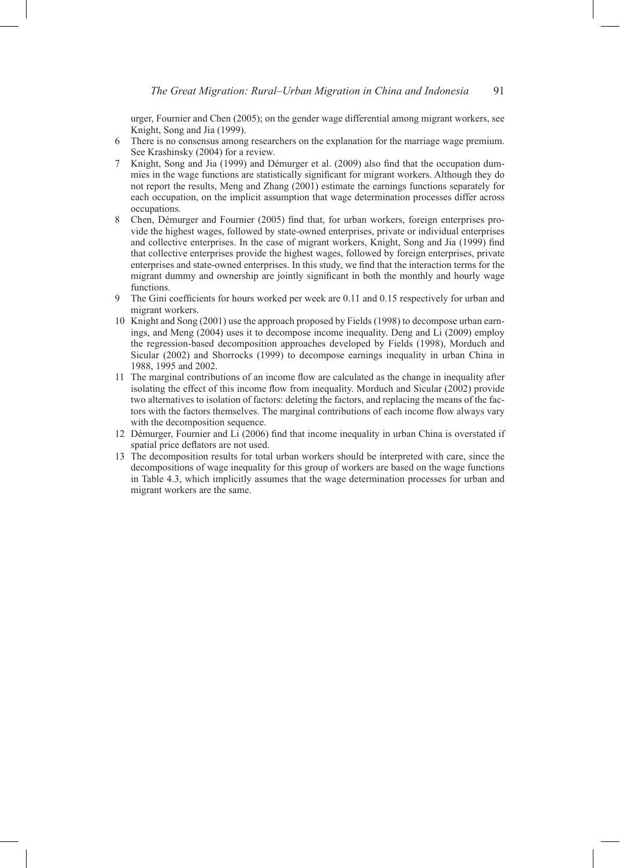urger, Fournier and Chen (2005); on the gender wage differential among migrant workers, see Knight, Song and Jia (1999).

- 6 There is no consensus among researchers on the explanation for the marriage wage premium. See Krashinsky (2004) for a review.
- 7 Knight, Song and Jia (1999) and Démurger et al. (2009) also find that the occupation dummies in the wage functions are statistically significant for migrant workers. Although they do not report the results, Meng and Zhang (2001) estimate the earnings functions separately for each occupation, on the implicit assumption that wage determination processes differ across occupations.
- 8 Chen, Démurger and Fournier (2005) find that, for urban workers, foreign enterprises provide the highest wages, followed by state-owned enterprises, private or individual enterprises and collective enterprises. In the case of migrant workers, Knight, Song and Jia (1999) find that collective enterprises provide the highest wages, followed by foreign enterprises, private enterprises and state-owned enterprises. In this study, we find that the interaction terms for the migrant dummy and ownership are jointly significant in both the monthly and hourly wage functions.
- The Gini coefficients for hours worked per week are 0.11 and 0.15 respectively for urban and migrant workers.
- 10 Knight and Song (2001) use the approach proposed by Fields (1998) to decompose urban earnings, and Meng (2004) uses it to decompose income inequality. Deng and Li (2009) employ the regression-based decomposition approaches developed by Fields (1998), Morduch and Sicular (2002) and Shorrocks (1999) to decompose earnings inequality in urban China in 1988, 1995 and 2002.
- 11 The marginal contributions of an income flow are calculated as the change in inequality after isolating the effect of this income flow from inequality. Morduch and Sicular (2002) provide two alternatives to isolation of factors: deleting the factors, and replacing the means of the factors with the factors themselves. The marginal contributions of each income flow always vary with the decomposition sequence.
- 12 Démurger, Fournier and Li (2006) find that income inequality in urban China is overstated if spatial price deflators are not used.
- 13 The decomposition results for total urban workers should be interpreted with care, since the decompositions of wage inequality for this group of workers are based on the wage functions in Table 4.3, which implicitly assumes that the wage determination processes for urban and migrant workers are the same.